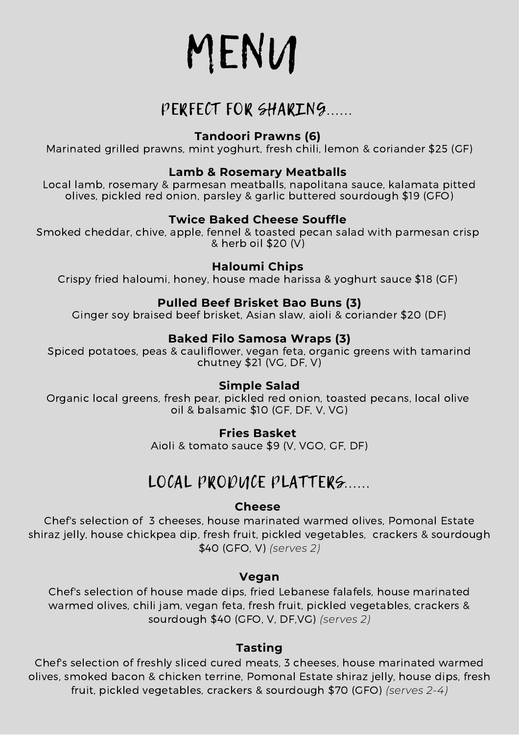MENU

# PERFECT FOR SHARING......

#### **Tandoori Prawns (6)**

Marinated grilled prawns, mint yoghurt, fresh chili, lemon & coriander \$25 (GF)

#### **Lamb & Rosemary Meatballs**

Local lamb, rosemary & parmesan meatballs, napolitana sauce, kalamata pitted olives, pickled red onion, parsley & garlic buttered sourdough \$19 (GFO)

#### **Twice Baked Cheese Souffle**

Smoked cheddar, chive, apple, fennel & toasted pecan salad with parmesan crisp & herb oil \$20 (V)

#### **Haloumi Chips**

Crispy fried haloumi, honey, house made harissa & yoghurt sauce \$18 (GF)

#### **Pulled Beef Brisket Bao Buns (3)**

Ginger soy braised beef brisket, Asian slaw, aioli & coriander \$20 (DF)

#### **Baked Filo Samosa Wraps (3)**

Spiced potatoes, peas & cauliflower, vegan feta, organic greens with tamarind chutney \$21 (VG, DF, V)

#### **Simple Salad**

Organic local greens, fresh pear, pickled red onion, toasted pecans, local olive oil & balsamic \$10 (GF, DF, V, VG)

#### **Fries Basket**

Aioli & tomato sauce \$9 (V, VGO, GF, DF)

# LOCAL PRODUCE PLATTERS.....

#### **Cheese**

Chef's selection of 3 cheeses, house marinated warmed olives, Pomonal Estate shiraz jelly, house chickpea dip, fresh fruit, pickled vegetables, crackers & sourdough \$40 (GFO, V) *(serves 2)*

#### **Vegan**

Chef's selection of house made dips, fried Lebanese falafels, house marinated warmed olives, chili jam, vegan feta, fresh fruit, pickled vegetables, crackers & sourdough \$40 (GFO, V, DF,VG) *(serves 2)*

#### **Tasting**

Chef's selection of freshly sliced cured meats, 3 cheeses, house marinated warmed olives, smoked bacon & chicken terrine, Pomonal Estate shiraz jelly, house dips, fresh fruit, pickled vegetables, crackers & sourdough \$70 (GFO) *(serves 2-4)*